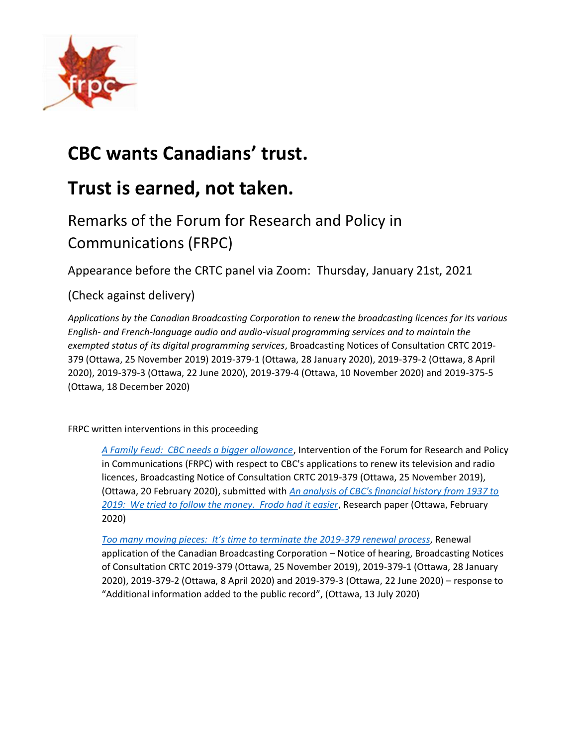

# **CBC wants Canadians' trust.**

# **Trust is earned, not taken.**

# Remarks of the Forum for Research and Policy in Communications (FRPC)

Appearance before the CRTC panel via Zoom: Thursday, January 21st, 2021

## (Check against delivery)

*Applications by the Canadian Broadcasting Corporation to renew the broadcasting licences for its various English- and French-language audio and audio-visual programming services and to maintain the exempted status of its digital programming services*, Broadcasting Notices of Consultation CRTC 2019- 379 (Ottawa, 25 November 2019) 2019-379-1 (Ottawa, 28 January 2020), 2019-379-2 (Ottawa, 8 April 2020), 2019-379-3 (Ottawa, 22 June 2020), 2019-379-4 (Ottawa, 10 November 2020) and 2019-375-5 (Ottawa, 18 December 2020)

FRPC written interventions in this proceeding

*[A Family Feud: CBC needs a bigger allowance](https://frpc.net/wp-content/uploads/2020/02/2020-20-Feb-2019-379-FRPC-intervention.pdf)*, Intervention of the Forum for Research and Policy in Communications (FRPC) with respect to CBC's applications to renew its television and radio licences, Broadcasting Notice of Consultation CRTC 2019-379 (Ottawa, 25 November 2019), (Ottawa, 20 February 2020), submitted with *[An analysis of CBC's financial history from 1937 to](https://frpc.net/wp-content/uploads/2020/02/Public-funding-of-CBC-operations-2020-4-February.pdf)  [2019: We tried to follow the money. Frodo had it easier](https://frpc.net/wp-content/uploads/2020/02/Public-funding-of-CBC-operations-2020-4-February.pdf)*, Research paper (Ottawa, February 2020)

*[Too many moving pieces: It's time to terminate the 2019](https://frpc.net/wp-content/uploads/2020/09/2019-379-3-Phase-2-intervention-FRPC.pdf)-379 renewal process*, Renewal application of the Canadian Broadcasting Corporation – Notice of hearing, Broadcasting Notices of Consultation CRTC 2019-379 (Ottawa, 25 November 2019), 2019-379-1 (Ottawa, 28 January 2020), 2019-379-2 (Ottawa, 8 April 2020) and 2019-379-3 (Ottawa, 22 June 2020) – response to "Additional information added to the public record", (Ottawa, 13 July 2020)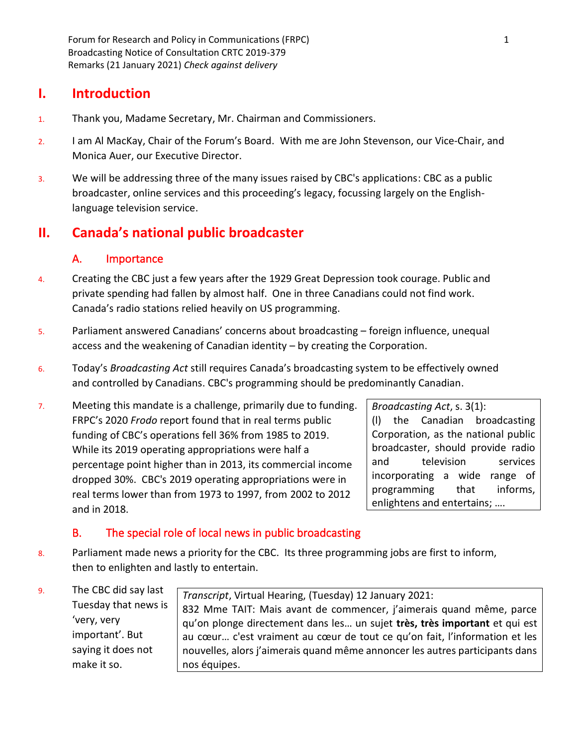Forum for Research and Policy in Communications (FRPC) 1 Broadcasting Notice of Consultation CRTC 2019-379 Remarks (21 January 2021) *Check against delivery*

## **I. Introduction**

- 1. Thank you, Madame Secretary, Mr. Chairman and Commissioners.
- 2. I am Al MacKay, Chair of the Forum's Board. With me are John Stevenson, our Vice-Chair, and Monica Auer, our Executive Director.
- 3. We will be addressing three of the many issues raised by CBC's applications: CBC as a public broadcaster, online services and this proceeding's legacy, focussing largely on the Englishlanguage television service.

# **II. Canada's national public broadcaster**

## A. Importance

- 4. Creating the CBC just a few years after the 1929 Great Depression took courage. Public and private spending had fallen by almost half. One in three Canadians could not find work. Canada's radio stations relied heavily on US programming.
- 5. Parliament answered Canadians' concerns about broadcasting foreign influence, unequal access and the weakening of Canadian identity – by creating the Corporation.
- 6. Today's *Broadcasting Act* still requires Canada's broadcasting system to be effectively owned and controlled by Canadians. CBC's programming should be predominantly Canadian.
- 7. Meeting this mandate is a challenge, primarily due to funding. FRPC's 2020 *Frodo* report found that in real terms public funding of CBC's operations fell 36% from 1985 to 2019. While its 2019 operating appropriations were half a percentage point higher than in 2013, its commercial income dropped 30%. CBC's 2019 operating appropriations were in real terms lower than from 1973 to 1997, from 2002 to 2012 and in 2018.

*Broadcasting Act*, s. 3(1): (l) the Canadian broadcasting Corporation, as the national public broadcaster, should provide radio and television services incorporating a wide range of programming that informs, enlightens and entertains; ….

## B. The special role of local news in public broadcasting

- 8. Parliament made news a priority for the CBC. Its three programming jobs are first to inform, then to enlighten and lastly to entertain.
- 9. The CBC did say last Tuesday that news is 'very, very important'. But saying it does not make it so.

*Transcript*, Virtual Hearing, (Tuesday) 12 January 2021: 832 Mme TAIT: Mais avant de commencer, j'aimerais quand même, parce qu'on plonge directement dans les… un sujet **très, très important** et qui est au cœur… c'est vraiment au cœur de tout ce qu'on fait, l'information et les nouvelles, alors j'aimerais quand même annoncer les autres participants dans nos équipes.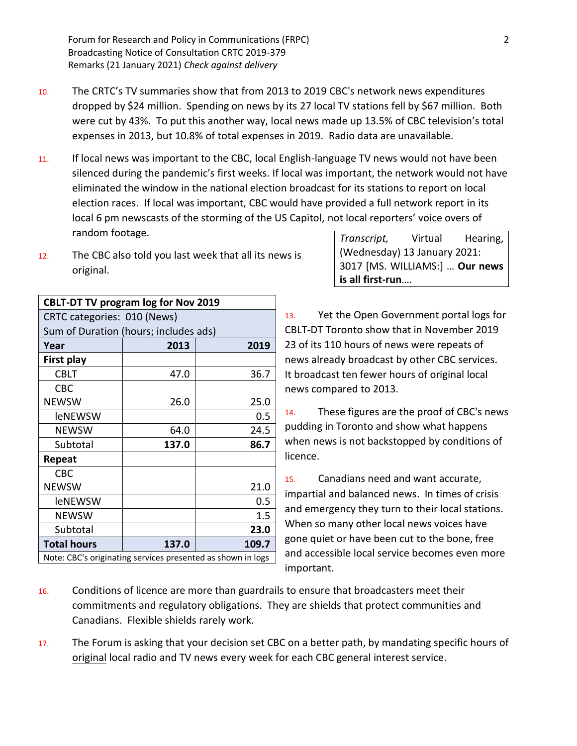- 10. The CRTC's TV summaries show that from 2013 to 2019 CBC's network news expenditures dropped by \$24 million. Spending on news by its 27 local TV stations fell by \$67 million. Both were cut by 43%. To put this another way, local news made up 13.5% of CBC television's total expenses in 2013, but 10.8% of total expenses in 2019. Radio data are unavailable.
- 11. If local news was important to the CBC, local English-language TV news would not have been silenced during the pandemic's first weeks. If local was important, the network would not have eliminated the window in the national election broadcast for its stations to report on local election races. If local was important, CBC would have provided a full network report in its local 6 pm newscasts of the storming of the US Capitol, not local reporters' voice overs of random footage.
- 12. The CBC also told you last week that all its news is original.

| <b>CBLT-DT TV program log for Nov 2019</b>                  |       |       |  |
|-------------------------------------------------------------|-------|-------|--|
| CRTC categories: 010 (News)                                 |       |       |  |
| Sum of Duration (hours; includes ads)                       |       |       |  |
| Year                                                        | 2013  | 2019  |  |
| First play                                                  |       |       |  |
| <b>CBLT</b>                                                 | 47.0  | 36.7  |  |
| <b>CBC</b>                                                  |       |       |  |
| <b>NEWSW</b>                                                | 26.0  | 25.0  |  |
| leNEWSW                                                     |       | 0.5   |  |
| <b>NEWSW</b>                                                | 64.0  | 24.5  |  |
| Subtotal                                                    | 137.0 | 86.7  |  |
| Repeat                                                      |       |       |  |
| CBC.                                                        |       |       |  |
| <b>NEWSW</b>                                                |       | 21.0  |  |
| leNEWSW                                                     |       | 0.5   |  |
| <b>NEWSW</b>                                                |       | 1.5   |  |
| Subtotal                                                    |       | 23.0  |  |
| <b>Total hours</b>                                          | 137.0 | 109.7 |  |
| Note: CBC's originating services presented as shown in logs |       |       |  |

| Transcript,                    | Virtual | Hearing, |  |
|--------------------------------|---------|----------|--|
| (Wednesday) 13 January 2021:   |         |          |  |
| 3017 [MS. WILLIAMS:]  Our news |         |          |  |
| is all first-run               |         |          |  |

13. Yet the Open Government portal logs for CBLT-DT Toronto show that in November 2019 23 of its 110 hours of news were repeats of news already broadcast by other CBC services. It broadcast ten fewer hours of original local news compared to 2013.

14. These figures are the proof of CBC's news pudding in Toronto and show what happens when news is not backstopped by conditions of licence.

15. Canadians need and want accurate, impartial and balanced news. In times of crisis and emergency they turn to their local stations. When so many other local news voices have gone quiet or have been cut to the bone, free and accessible local service becomes even more important.

- 16. Conditions of licence are more than guardrails to ensure that broadcasters meet their commitments and regulatory obligations. They are shields that protect communities and Canadians. Flexible shields rarely work.
- 17. The Forum is asking that your decision set CBC on a better path, by mandating specific hours of original local radio and TV news every week for each CBC general interest service.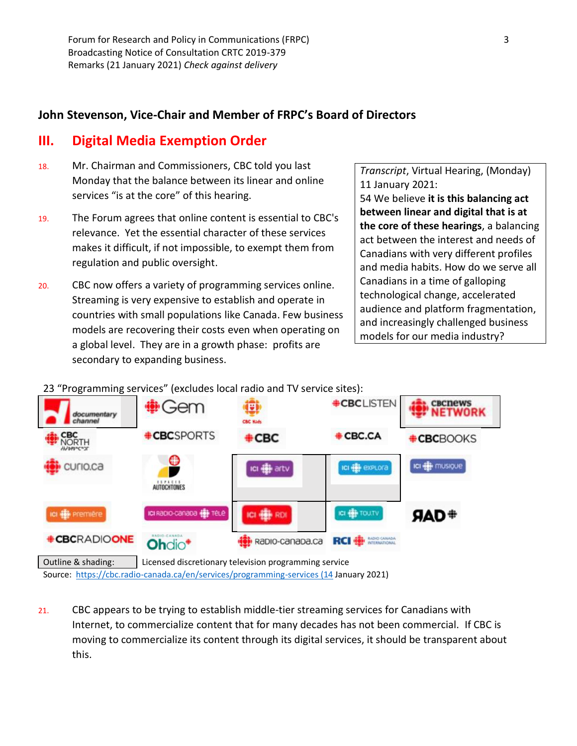## **John Stevenson, Vice-Chair and Member of FRPC's Board of Directors**

## **III. Digital Media Exemption Order**

- 18. Mr. Chairman and Commissioners, CBC told you last Monday that the balance between its linear and online services "is at the core" of this hearing.
- 19. The Forum agrees that online content is essential to CBC's relevance. Yet the essential character of these services makes it difficult, if not impossible, to exempt them from regulation and public oversight.
- 20. CBC now offers a variety of programming services online. Streaming is very expensive to establish and operate in countries with small populations like Canada. Few business models are recovering their costs even when operating on a global level. They are in a growth phase: profits are secondary to expanding business.

*Transcript*, Virtual Hearing, (Monday) 11 January 2021: 54 We believe **it is this balancing act between linear and digital that is at the core of these hearings**, a balancing act between the interest and needs of Canadians with very different profiles and media habits. How do we serve all Canadians in a time of galloping technological change, accelerated audience and platform fragmentation, and increasingly challenged business models for our media industry?

23 "Programming services" (excludes local radio and TV service sites):



21. CBC appears to be trying to establish middle-tier streaming services for Canadians with Internet, to commercialize content that for many decades has not been commercial. If CBC is moving to commercialize its content through its digital services, it should be transparent about this.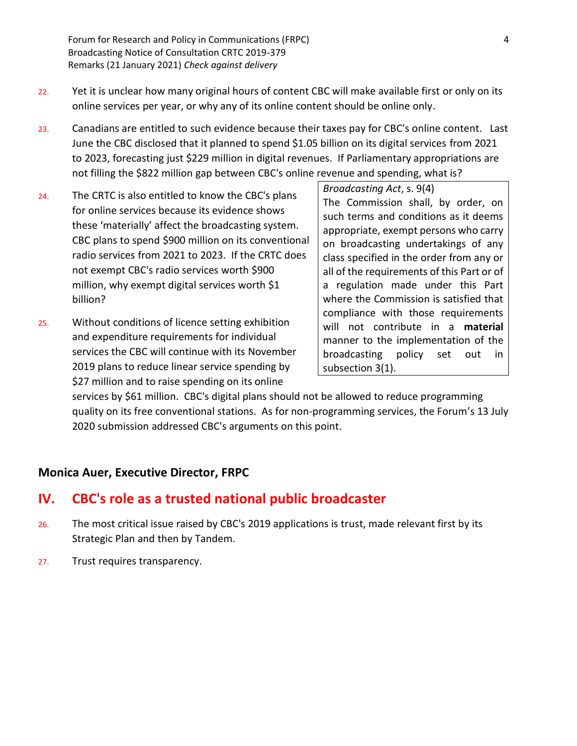Forum for Research and Policy in Communications (FRPC) 4 Broadcasting Notice of Consultation CRTC 2019-379 Remarks (21 January 2021) *Check against delivery*

- 22. Yet it is unclear how many original hours of content CBC will make available first or only on its online services per year, or why any of its online content should be online only.
- 23. Canadians are entitled to such evidence because their taxes pay for CBC's online content. Last June the CBC disclosed that it planned to spend \$1.05 billion on its digital services from 2021 to 2023, forecasting just \$229 million in digital revenues. If Parliamentary appropriations are not filling the \$822 million gap between CBC's online revenue and spending, what is?
- 24. The CRTC is also entitled to know the CBC's plans for online services because its evidence shows these 'materially' affect the broadcasting system. CBC plans to spend \$900 million on its conventional radio services from 2021 to 2023. If the CRTC does not exempt CBC's radio services worth \$900 million, why exempt digital services worth \$1 billion?
- 25. Without conditions of licence setting exhibition and expenditure requirements for individual services the CBC will continue with its November 2019 plans to reduce linear service spending by \$27 million and to raise spending on its online

*Broadcasting Act*, s. 9(4) The Commission shall, by order, on such terms and conditions as it deems appropriate, exempt persons who carry on broadcasting undertakings of any class specified in the order from any or all of the requirements of this Part or of a regulation made under this Part where the Commission is satisfied that compliance with those requirements will not contribute in a **material** manner to the implementation of the broadcasting policy set out in subsection 3(1).

services by \$61 million. CBC's digital plans should not be allowed to reduce programming quality on its free conventional stations. As for non-programming services, the Forum's 13 July 2020 submission addressed CBC's arguments on this point.

#### **Monica Auer, Executive Director, FRPC**

## **IV. CBC's role as a trusted national public broadcaster**

- 26. The most critical issue raised by CBC's 2019 applications is trust, made relevant first by its Strategic Plan and then by Tandem.
- 27. Trust requires transparency.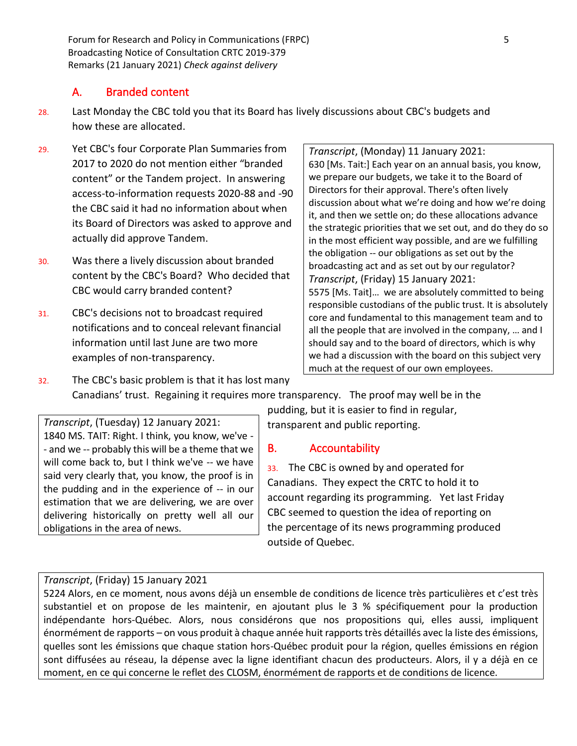Forum for Research and Policy in Communications (FRPC) 5 Broadcasting Notice of Consultation CRTC 2019-379 Remarks (21 January 2021) *Check against delivery*

## A. Branded content

- 28. Last Monday the CBC told you that its Board has lively discussions about CBC's budgets and how these are allocated.
- 29. Yet CBC's four Corporate Plan Summaries from 2017 to 2020 do not mention either "branded content" or the Tandem project. In answering access-to-information requests 2020-88 and -90 the CBC said it had no information about when its Board of Directors was asked to approve and actually did approve Tandem.
- 30. Was there a lively discussion about branded content by the CBC's Board? Who decided that CBC would carry branded content?
- 31. CBC's decisions not to broadcast required notifications and to conceal relevant financial information until last June are two more examples of non-transparency.

*Transcript*, (Monday) 11 January 2021: 630 [Ms. Tait:] Each year on an annual basis, you know, we prepare our budgets, we take it to the Board of Directors for their approval. There's often lively discussion about what we're doing and how we're doing it, and then we settle on; do these allocations advance the strategic priorities that we set out, and do they do so in the most efficient way possible, and are we fulfilling the obligation -- our obligations as set out by the broadcasting act and as set out by our regulator? *Transcript*, (Friday) 15 January 2021: 5575 [Ms. Tait]… we are absolutely committed to being responsible custodians of the public trust. It is absolutely core and fundamental to this management team and to all the people that are involved in the company, … and I should say and to the board of directors, which is why we had a discussion with the board on this subject very much at the request of our own employees.

32. The CBC's basic problem is that it has lost many Canadians' trust. Regaining it requires more transparency. The proof may well be in the

*Transcript*, (Tuesday) 12 January 2021: 1840 MS. TAIT: Right. I think, you know, we've - - and we -- probably this will be a theme that we will come back to, but I think we've -- we have said very clearly that, you know, the proof is in the pudding and in the experience of -- in our estimation that we are delivering, we are over delivering historically on pretty well all our obligations in the area of news.

pudding, but it is easier to find in regular, transparent and public reporting.

#### B. Accountability

33. The CBC is owned by and operated for Canadians. They expect the CRTC to hold it to account regarding its programming. Yet last Friday CBC seemed to question the idea of reporting on the percentage of its news programming produced outside of Quebec.

#### *Transcript*, (Friday) 15 January 2021

5224 Alors, en ce moment, nous avons déjà un ensemble de conditions de licence très particulières et c'est très substantiel et on propose de les maintenir, en ajoutant plus le 3 % spécifiquement pour la production indépendante hors-Québec. Alors, nous considérons que nos propositions qui, elles aussi, impliquent énormément de rapports – on vous produit à chaque année huit rapports très détaillés avec la liste des émissions, quelles sont les émissions que chaque station hors-Québec produit pour la région, quelles émissions en région sont diffusées au réseau, la dépense avec la ligne identifiant chacun des producteurs. Alors, il y a déjà en ce moment, en ce qui concerne le reflet des CLOSM, énormément de rapports et de conditions de licence.